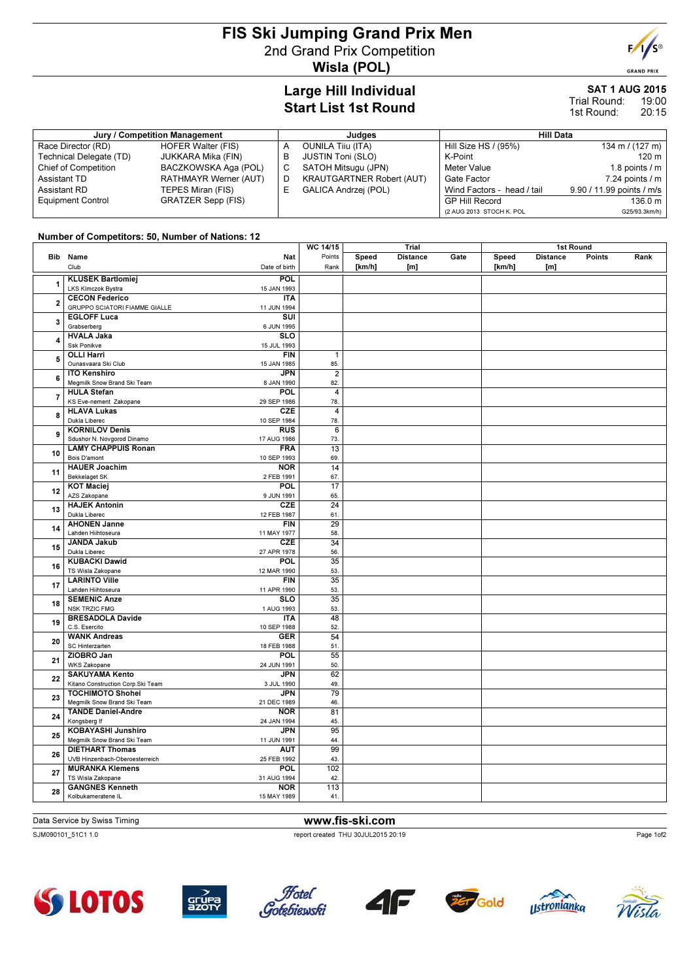# FIS Ski Jumping Grand Prix Men 2nd Grand Prix Competition Wisla (POL)



**GRAND PRIX** 

# Large Hill Individual Start List 1st Round

#### SAT 1 AUG 2015 19:00 Trial Round:

20:15 1st Round:

| Jury / Competition Management |                           |    | Judges                           | Hill Data                  |                           |  |
|-------------------------------|---------------------------|----|----------------------------------|----------------------------|---------------------------|--|
| Race Director (RD)            | <b>HOFER Walter (FIS)</b> | А  | OUNILA Tiiu (ITA)                | Hill Size HS / (95%)       | 134 m / (127 m)           |  |
| Technical Delegate (TD)       | JUKKARA Mika (FIN)        | в  | <b>JUSTIN Toni (SLO)</b>         | K-Point                    | 120 m                     |  |
| <b>Chief of Competition</b>   | BACZKOWSKA Aga (POL)      | C. | SATOH Mitsugu (JPN)              | Meter Value                | 1.8 points $\sqrt{m}$     |  |
| Assistant TD                  | RATHMAYR Werner (AUT)     | D  | <b>KRAUTGARTNER Robert (AUT)</b> | Gate Factor                | $7.24$ points $/ m$       |  |
| Assistant RD                  | TEPES Miran (FIS)         |    | GALICA Andrzej (POL)             | Wind Factors - head / tail | 9.90 / 11.99 points / m/s |  |
| <b>Equipment Control</b>      | GRATZER Sepp (FIS)        |    |                                  | <b>GP Hill Record</b>      | 136.0 m                   |  |
|                               |                           |    |                                  | (2 AUG 2013 STOCH K. POL   | G25/93.3km/h)             |  |

### Number of Competitors: 50, Number of Nations: 12

|                         |                                              |                           | WC 14/15        | Trial  |                 | 1st Round |        |                 |               |      |
|-------------------------|----------------------------------------------|---------------------------|-----------------|--------|-----------------|-----------|--------|-----------------|---------------|------|
|                         | Bib Name                                     | Nat                       | Points          | Speed  | <b>Distance</b> | Gate      | Speed  | <b>Distance</b> | <b>Points</b> | Rank |
|                         | Club                                         | Date of birth             | Rank            | [km/h] | [m]             |           | [km/h] | [m]             |               |      |
|                         | <b>KLUSEK Bartlomiej</b>                     | POL                       |                 |        |                 |           |        |                 |               |      |
| 1                       | LKS Klmczok Bystra                           | 15 JAN 1993               |                 |        |                 |           |        |                 |               |      |
|                         | <b>CECON Federico</b>                        |                           |                 |        |                 |           |        |                 |               |      |
| $\overline{\mathbf{2}}$ | <b>GRUPPO SCIATORI FIAMME GIALLE</b>         | <b>ITA</b><br>11 JUN 1994 |                 |        |                 |           |        |                 |               |      |
|                         |                                              |                           |                 |        |                 |           |        |                 |               |      |
| 3                       | <b>EGLOFF Luca</b>                           | SUI                       |                 |        |                 |           |        |                 |               |      |
|                         | Grabserberg                                  | 6 JUN 1995                |                 |        |                 |           |        |                 |               |      |
| 4                       | <b>HVALA Jaka</b>                            | $\overline{\text{SLO}}$   |                 |        |                 |           |        |                 |               |      |
|                         | Ssk Ponikve                                  | 15 JUL 1993               |                 |        |                 |           |        |                 |               |      |
| 5                       | <b>OLLI Harri</b>                            | FIN                       | $\mathbf{1}$    |        |                 |           |        |                 |               |      |
|                         | Ounasvaara Ski Club                          | 15 JAN 1985               | 85.             |        |                 |           |        |                 |               |      |
| 6                       | <b>ITO Kenshiro</b>                          | JPN                       | $\overline{2}$  |        |                 |           |        |                 |               |      |
|                         | Megmilk Snow Brand Ski Team                  | 8 JAN 1990                | 82.             |        |                 |           |        |                 |               |      |
| $\overline{7}$          | <b>HULA Stefan</b>                           | POL                       | 4               |        |                 |           |        |                 |               |      |
|                         | KS Eve-nement Zakopane                       | 29 SEP 1986               | 78.             |        |                 |           |        |                 |               |      |
| 8                       | <b>HLAVA Lukas</b>                           | <b>CZE</b>                | 4               |        |                 |           |        |                 |               |      |
|                         | Dukla Liberec                                | 10 SEP 1984               | 78.             |        |                 |           |        |                 |               |      |
| 9                       | <b>KORNILOV Denis</b>                        | RUS                       | 6               |        |                 |           |        |                 |               |      |
|                         | Sdushor N. Novgorod Dinamo                   | 17 AUG 1986               | 73.             |        |                 |           |        |                 |               |      |
| 10                      | <b>LAMY CHAPPUIS Ronan</b>                   | <b>FRA</b>                | 13              |        |                 |           |        |                 |               |      |
|                         | Bois D'amont                                 | 10 SEP 1993               | 69.             |        |                 |           |        |                 |               |      |
| 11                      | <b>HAUER Joachim</b>                         | <b>NOR</b>                | 14              |        |                 |           |        |                 |               |      |
|                         | Bekkelaget SK                                | 2 FEB 1991                | 67.             |        |                 |           |        |                 |               |      |
| 12                      | <b>KOT Maciej</b>                            | POL                       | 17              |        |                 |           |        |                 |               |      |
|                         | AZS Zakopane                                 | 9 JUN 1991                | 65.             |        |                 |           |        |                 |               |      |
| 13                      | <b>HAJEK Antonin</b>                         | CZE                       | 24              |        |                 |           |        |                 |               |      |
|                         | Dukla Liberec                                | 12 FEB 1987               | 61.             |        |                 |           |        |                 |               |      |
| 14                      | <b>AHONEN Janne</b>                          | <b>FIN</b>                | 29              |        |                 |           |        |                 |               |      |
|                         | Lahden Hiihtoseura                           | 11 MAY 1977               | 58.             |        |                 |           |        |                 |               |      |
| 15                      | <b>JANDA Jakub</b>                           | <b>CZE</b>                | 34              |        |                 |           |        |                 |               |      |
|                         | Dukla Liberec                                | 27 APR 1978               | 56.             |        |                 |           |        |                 |               |      |
| 16                      | <b>KUBACKI Dawid</b>                         | <b>POL</b>                | $\overline{35}$ |        |                 |           |        |                 |               |      |
|                         | TS Wisla Zakopane                            | 12 MAR 1990               | 53.             |        |                 |           |        |                 |               |      |
| 17                      | <b>LARINTO Ville</b>                         | <b>FIN</b>                | 35              |        |                 |           |        |                 |               |      |
|                         | Lahden Hiihtoseura                           | 11 APR 1990               | 53.             |        |                 |           |        |                 |               |      |
| 18                      | <b>SEMENIC Anze</b>                          | <b>SLO</b>                | 35              |        |                 |           |        |                 |               |      |
|                         | <b>NSK TRZIC FMG</b>                         | 1 AUG 1993                | 53.             |        |                 |           |        |                 |               |      |
| 19                      | <b>BRESADOLA Davide</b>                      | <b>ITA</b>                | 48              |        |                 |           |        |                 |               |      |
|                         | C.S. Esercito                                | 10 SEP 1988               | 52.             |        |                 |           |        |                 |               |      |
| 20                      | <b>WANK Andreas</b>                          | <b>GER</b>                | 54              |        |                 |           |        |                 |               |      |
|                         | SC Hinterzarten                              | 18 FEB 1988<br>POL        | 51.             |        |                 |           |        |                 |               |      |
| 21                      | ZIOBRO Jan                                   |                           | $\overline{55}$ |        |                 |           |        |                 |               |      |
|                         | <b>WKS Zakopane</b><br><b>SAKUYAMA Kento</b> | 24 JUN 1991<br><b>JPN</b> | 50.<br>62       |        |                 |           |        |                 |               |      |
| 22                      | Kitano Construction Corp.Ski Team            | 3 JUL 1990                | 49.             |        |                 |           |        |                 |               |      |
|                         | <b>TOCHIMOTO Shohei</b>                      | <b>JPN</b>                | 79              |        |                 |           |        |                 |               |      |
| 23                      | Megmilk Snow Brand Ski Team                  | 21 DEC 1989               | 46.             |        |                 |           |        |                 |               |      |
| 24                      | <b>TANDE Daniel-Andre</b>                    | <b>NOR</b>                | 81              |        |                 |           |        |                 |               |      |
|                         | Kongsberg If                                 | 24 JAN 1994               | 45.             |        |                 |           |        |                 |               |      |
|                         | <b>KOBAYASHI Junshiro</b>                    | <b>JPN</b>                | $\overline{95}$ |        |                 |           |        |                 |               |      |
| 25                      | Megmilk Snow Brand Ski Team                  | 11 JUN 1991               | 44.             |        |                 |           |        |                 |               |      |
|                         | <b>DIETHART Thomas</b>                       | <b>AUT</b>                | 99              |        |                 |           |        |                 |               |      |
| 26                      | UVB Hinzenbach-Oberoesterreich               | 25 FEB 1992               | 43.             |        |                 |           |        |                 |               |      |
|                         | <b>MURANKA Klemens</b>                       | <b>POL</b>                | 102             |        |                 |           |        |                 |               |      |
| 27                      | TS Wisla Zakopane                            | 31 AUG 1994               | 42.             |        |                 |           |        |                 |               |      |
|                         | <b>GANGNES Kenneth</b>                       | <b>NOR</b>                | 113             |        |                 |           |        |                 |               |      |
| 28                      | Kolbukameratene IL                           | 15 MAY 1989               | 41.             |        |                 |           |        |                 |               |      |
|                         |                                              |                           |                 |        |                 |           |        |                 |               |      |

Data Service by Swiss Timing **www.fis-ski.com** 

### SJM090101\_51C1 1.0 report created THU 30JUL2015 20:19















Page 1of2